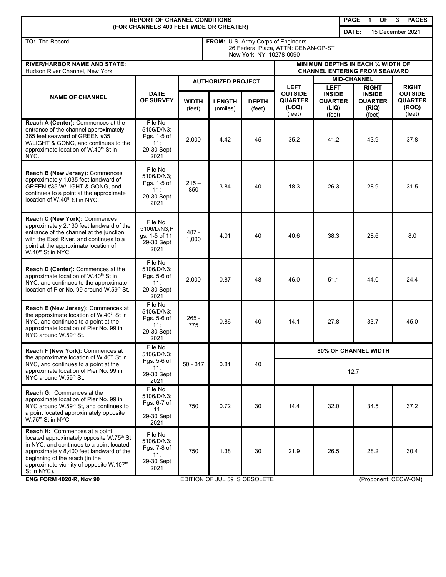| <b>REPORT OF CHANNEL CONDITIONS</b><br><b>PAGE</b><br><b>OF</b><br>1<br>3<br><b>PAGES</b>                                                                                                                                                                                              |                                                                    |                                                                                                      |                           |                                                       |                                                                    |                                                                   |                                                                    |      |                                                     |  |
|----------------------------------------------------------------------------------------------------------------------------------------------------------------------------------------------------------------------------------------------------------------------------------------|--------------------------------------------------------------------|------------------------------------------------------------------------------------------------------|---------------------------|-------------------------------------------------------|--------------------------------------------------------------------|-------------------------------------------------------------------|--------------------------------------------------------------------|------|-----------------------------------------------------|--|
| (FOR CHANNELS 400 FEET WIDE OR GREATER)                                                                                                                                                                                                                                                |                                                                    |                                                                                                      |                           |                                                       |                                                                    |                                                                   | DATE:                                                              |      | 15 December 2021                                    |  |
| TO: The Record                                                                                                                                                                                                                                                                         |                                                                    | FROM: U.S. Army Corps of Engineers<br>26 Federal Plaza, ATTN: CENAN-OP-ST<br>New York, NY 10278-0090 |                           |                                                       |                                                                    |                                                                   |                                                                    |      |                                                     |  |
| <b>RIVER/HARBOR NAME AND STATE:</b><br>Hudson River Channel. New York                                                                                                                                                                                                                  |                                                                    | MINIMUM DEPTHS IN EACH 1/4 WIDTH OF<br><b>CHANNEL ENTERING FROM SEAWARD</b>                          |                           |                                                       |                                                                    |                                                                   |                                                                    |      |                                                     |  |
|                                                                                                                                                                                                                                                                                        |                                                                    | <b>AUTHORIZED PROJECT</b>                                                                            |                           |                                                       |                                                                    | <b>MID-CHANNEL</b>                                                |                                                                    |      | <b>RIGHT</b>                                        |  |
| <b>NAME OF CHANNEL</b>                                                                                                                                                                                                                                                                 | <b>DATE</b><br>OF SURVEY                                           | <b>WIDTH</b><br>(feet)                                                                               | <b>LENGTH</b><br>(nmiles) | <b>DEPTH</b><br>(feet)                                | <b>LEFT</b><br><b>OUTSIDE</b><br><b>QUARTER</b><br>(LOQ)<br>(feet) | <b>LEFT</b><br><b>INSIDE</b><br><b>QUARTER</b><br>(LIQ)<br>(feet) | <b>RIGHT</b><br><b>INSIDE</b><br><b>QUARTER</b><br>(RIQ)<br>(feet) |      | <b>OUTSIDE</b><br><b>QUARTER</b><br>(ROQ)<br>(feet) |  |
| Reach A (Center): Commences at the<br>entrance of the channel approximately<br>365 feet seaward of GREEN #35<br>W/LIGHT & GONG, and continues to the<br>approximate location of W.40 <sup>th</sup> St in<br>NYC.                                                                       | File No.<br>5106/D/N3;<br>Pgs. 1-5 of<br>11:<br>29-30 Sept<br>2021 | 2,000                                                                                                | 4.42                      | 45                                                    | 35.2                                                               | 41.2                                                              |                                                                    | 43.9 | 37.8                                                |  |
| Reach B (New Jersey): Commences<br>approximately 1,035 feet landward of<br>GREEN #35 W/LIGHT & GONG, and<br>continues to a point at the approximate<br>location of W.40 <sup>th</sup> St in NYC.                                                                                       | File No.<br>5106/D/N3;<br>Pgs. 1-5 of<br>11:<br>29-30 Sept<br>2021 | $215 -$<br>850                                                                                       | 3.84                      | 40                                                    | 18.3                                                               | 26.3                                                              |                                                                    | 28.9 | 31.5                                                |  |
| Reach C (New York): Commences<br>approximately 2,130 feet landward of the<br>entrance of the channel at the junction<br>with the East River, and continues to a<br>point at the approximate location of<br>W.40 <sup>th</sup> St in NYC.                                               | File No.<br>5106/D/N3;P<br>gs. 1-5 of 11;<br>29-30 Sept<br>2021    | 487 -<br>1,000                                                                                       | 4.01                      | 40                                                    | 40.6                                                               | 38.3                                                              |                                                                    | 28.6 | 8.0                                                 |  |
| Reach D (Center): Commences at the<br>approximate location of W.40 <sup>th</sup> St in<br>NYC, and continues to the approximate<br>location of Pier No. 99 around W.59th St.                                                                                                           | File No.<br>5106/D/N3;<br>Pgs. 5-6 of<br>11:<br>29-30 Sept<br>2021 | 2,000                                                                                                | 0.87                      | 48                                                    | 46.0                                                               | 51.1                                                              |                                                                    | 44.0 | 24.4                                                |  |
| Reach E (New Jersey): Commences at<br>the approximate location of W.40 <sup>th</sup> St in<br>NYC, and continues to a point at the<br>approximate location of Pier No. 99 in<br>NYC around W.59th St.                                                                                  | File No.<br>5106/D/N3;<br>Pgs. 5-6 of<br>11:<br>29-30 Sept<br>2021 | 265 -<br>775                                                                                         | 0.86                      | 40                                                    | 14.1                                                               | 27.8                                                              |                                                                    | 33.7 | 45.0                                                |  |
| Reach F (New York): Commences at                                                                                                                                                                                                                                                       | File No.<br>5106/D/N3:                                             | $50 - 317$                                                                                           | 0.81                      | 40                                                    | <b>80% OF CHANNEL WIDTH</b>                                        |                                                                   |                                                                    |      |                                                     |  |
| the approximate location of W.40 <sup>th</sup> St in<br>NYC, and continues to a point at the<br>approximate location of Pier No. 99 in<br>NYC around W.59th St.                                                                                                                        | Pgs. 5-6 of<br>11:<br>29-30 Sept<br>2021                           |                                                                                                      |                           |                                                       | 12.7                                                               |                                                                   |                                                                    |      |                                                     |  |
| <b>Reach G:</b> Commences at the<br>approximate location of Pier No. 99 in<br>NYC around W.59 <sup>th</sup> St, and continues to<br>a point located approximately opposite<br>W.75 <sup>th</sup> St in NYC.                                                                            | File No.<br>5106/D/N3:<br>Pgs. 6-7 of<br>11<br>29-30 Sept<br>2021  | 750                                                                                                  | 0.72                      | 30                                                    | 14.4                                                               | 32.0                                                              |                                                                    | 34.5 | 37.2                                                |  |
| Reach H: Commences at a point<br>located approximately opposite W.75 <sup>th</sup> St<br>in NYC, and continues to a point located<br>approximately 8,400 feet landward of the<br>beginning of the reach (in the<br>approximate vicinity of opposite W.107 <sup>th</sup><br>St in NYC). | File No.<br>5106/D/N3;<br>Pgs. 7-8 of<br>11:<br>29-30 Sept<br>2021 | 750                                                                                                  | 1.38                      | 30                                                    | 21.9                                                               | 26.5                                                              |                                                                    | 28.2 | 30.4                                                |  |
| <b>ENG FORM 4020-R, Nov 90</b>                                                                                                                                                                                                                                                         |                                                                    |                                                                                                      |                           | EDITION OF JUL 59 IS OBSOLETE<br>(Proponent: CECW-OM) |                                                                    |                                                                   |                                                                    |      |                                                     |  |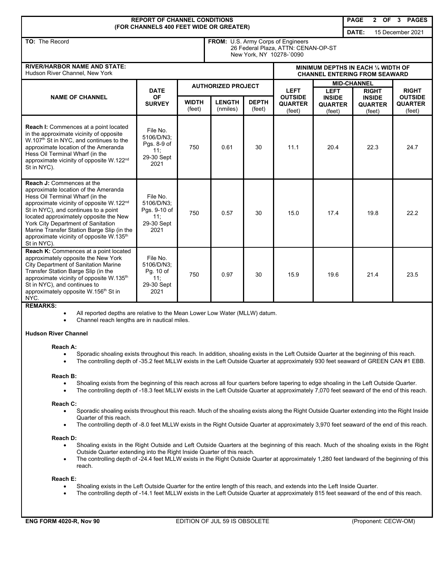| <b>REPORT OF CHANNEL CONDITIONS</b><br>(FOR CHANNELS 400 FEET WIDE OR GREATER)                                                                                                                                                                                                                                                                                                                                   |                                                                     |                                                                                                       |                           |                        |                                            |                                                                             | <b>PAGE</b>               | <b>OF</b><br>$\mathbf{2}$                 | 3 PAGES                                    |
|------------------------------------------------------------------------------------------------------------------------------------------------------------------------------------------------------------------------------------------------------------------------------------------------------------------------------------------------------------------------------------------------------------------|---------------------------------------------------------------------|-------------------------------------------------------------------------------------------------------|---------------------------|------------------------|--------------------------------------------|-----------------------------------------------------------------------------|---------------------------|-------------------------------------------|--------------------------------------------|
|                                                                                                                                                                                                                                                                                                                                                                                                                  |                                                                     |                                                                                                       |                           |                        |                                            |                                                                             | DATE:<br>15 December 2021 |                                           |                                            |
| TO: The Record                                                                                                                                                                                                                                                                                                                                                                                                   |                                                                     | FROM: U.S. Army Corps of Engineers<br>26 Federal Plaza, ATTN: CENAN-OP-ST<br>New York, NY 10278-`0090 |                           |                        |                                            |                                                                             |                           |                                           |                                            |
| <b>RIVER/HARBOR NAME AND STATE:</b><br>Hudson River Channel, New York                                                                                                                                                                                                                                                                                                                                            |                                                                     |                                                                                                       |                           |                        |                                            | MINIMUM DEPTHS IN EACH 1/4 WIDTH OF<br><b>CHANNEL ENTERING FROM SEAWARD</b> |                           |                                           |                                            |
| <b>NAME OF CHANNEL</b>                                                                                                                                                                                                                                                                                                                                                                                           | <b>DATE</b><br><b>OF</b><br><b>SURVEY</b>                           | <b>AUTHORIZED PROJECT</b>                                                                             |                           |                        | <b>LEFT</b>                                | <b>LEFT</b>                                                                 | <b>MID-CHANNEL</b>        | <b>RIGHT</b>                              | <b>RIGHT</b>                               |
|                                                                                                                                                                                                                                                                                                                                                                                                                  |                                                                     | <b>WIDTH</b><br>(feet)                                                                                | <b>LENGTH</b><br>(nmiles) | <b>DEPTH</b><br>(feet) | <b>OUTSIDE</b><br><b>QUARTER</b><br>(feet) | <b>INSIDE</b><br><b>QUARTER</b><br>(feet)                                   |                           | <b>INSIDE</b><br><b>QUARTER</b><br>(feet) | <b>OUTSIDE</b><br><b>QUARTER</b><br>(feet) |
| Reach I: Commences at a point located<br>in the approximate vicinity of opposite<br>W.107 <sup>th</sup> St in NYC, and continues to the<br>approximate location of the Ameranda<br>Hess Oil Terminal Wharf (in the<br>approximate vicinity of opposite W.122 <sup>nd</sup><br>St in NYC).                                                                                                                        | File No.<br>5106/D/N3:<br>Pgs. 8-9 of<br>11:<br>29-30 Sept<br>2021  | 750                                                                                                   | 0.61                      | 30                     | 11.1                                       | 20.4                                                                        |                           | 22.3                                      | 24.7                                       |
| <b>Reach J: Commences at the</b><br>approximate location of the Ameranda<br>Hess Oil Terminal Wharf (in the<br>approximate vicinity of opposite W.122 <sup>nd</sup><br>St in NYC), and continues to a point<br>located approximately opposite the New<br>York City Department of Sanitation<br>Marine Transfer Station Barge Slip (in the<br>approximate vicinity of opposite W.135 <sup>th</sup><br>St in NYC). | File No.<br>5106/D/N3:<br>Pgs. 9-10 of<br>11:<br>29-30 Sept<br>2021 | 750                                                                                                   | 0.57                      | 30                     | 15.0                                       | 17.4                                                                        |                           | 19.8                                      | 22.2                                       |
| Reach K: Commences at a point located<br>approximately opposite the New York<br><b>City Department of Sanitation Marine</b><br>Transfer Station Barge Slip (in the<br>approximate vicinity of opposite W.135 <sup>th</sup><br>St in NYC), and continues to<br>approximately opposite W.156 <sup>th</sup> St in<br>NYC.                                                                                           | File No.<br>5106/D/N3;<br>Pg. 10 of<br>11:<br>29-30 Sept<br>2021    | 750                                                                                                   | 0.97                      | 30                     | 15.9                                       | 19.6                                                                        |                           | 21.4                                      | 23.5                                       |

# **REMARKS:**

• All reported depths are relative to the Mean Lower Low Water (MLLW) datum.

• Channel reach lengths are in nautical miles.

# **Hudson River Channel**

#### **Reach A:**

- Sporadic shoaling exists throughout this reach. In addition, shoaling exists in the Left Outside Quarter at the beginning of this reach.
- The controlling depth of -35.2 feet MLLW exists in the Left Outside Quarter at approximately 930 feet seaward of GREEN CAN #1 EBB.

#### **Reach B:**

- Shoaling exists from the beginning of this reach across all four quarters before tapering to edge shoaling in the Left Outside Quarter.
- The controlling depth of -18.3 feet MLLW exists in the Left Outside Quarter at approximately 7,070 feet seaward of the end of this reach.

#### **Reach C:**

- Sporadic shoaling exists throughout this reach. Much of the shoaling exists along the Right Outside Quarter extending into the Right Inside Quarter of this reach.
- The controlling depth of -8.0 feet MLLW exists in the Right Outside Quarter at approximately 3,970 feet seaward of the end of this reach.

#### **Reach D:**

- Shoaling exists in the Right Outside and Left Outside Quarters at the beginning of this reach. Much of the shoaling exists in the Right Outside Quarter extending into the Right Inside Quarter of this reach.
- The controlling depth of -24.4 feet MLLW exists in the Right Outside Quarter at approximately 1,280 feet landward of the beginning of this reach.

# **Reach E:**

- Shoaling exists in the Left Outside Quarter for the entire length of this reach, and extends into the Left Inside Quarter.
- The controlling depth of -14.1 feet MLLW exists in the Left Outside Quarter at approximately 815 feet seaward of the end of this reach.